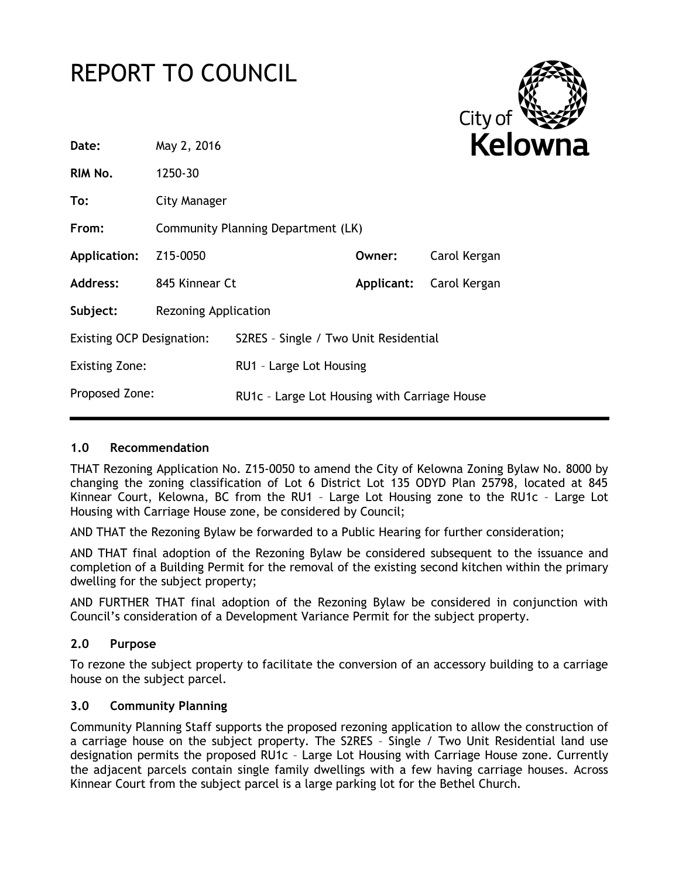# REPORT TO COUNCIL



| Date:                            | May 2, 2016                        |                                              |        |                         |
|----------------------------------|------------------------------------|----------------------------------------------|--------|-------------------------|
| RIM No.                          | 1250-30                            |                                              |        |                         |
| To:                              | City Manager                       |                                              |        |                         |
| From:                            | Community Planning Department (LK) |                                              |        |                         |
| Application:                     | Z15-0050                           |                                              | Owner: | Carol Kergan            |
| Address:                         | 845 Kinnear Ct                     |                                              |        | Applicant: Carol Kergan |
| Subject:                         | <b>Rezoning Application</b>        |                                              |        |                         |
| <b>Existing OCP Designation:</b> |                                    | S2RES - Single / Two Unit Residential        |        |                         |
| <b>Existing Zone:</b>            |                                    | RU1 - Large Lot Housing                      |        |                         |
| Proposed Zone:                   |                                    | RU1c - Large Lot Housing with Carriage House |        |                         |

## **1.0 Recommendation**

THAT Rezoning Application No. Z15-0050 to amend the City of Kelowna Zoning Bylaw No. 8000 by changing the zoning classification of Lot 6 District Lot 135 ODYD Plan 25798, located at 845 Kinnear Court, Kelowna, BC from the RU1 – Large Lot Housing zone to the RU1c – Large Lot Housing with Carriage House zone, be considered by Council;

AND THAT the Rezoning Bylaw be forwarded to a Public Hearing for further consideration;

AND THAT final adoption of the Rezoning Bylaw be considered subsequent to the issuance and completion of a Building Permit for the removal of the existing second kitchen within the primary dwelling for the subject property;

AND FURTHER THAT final adoption of the Rezoning Bylaw be considered in conjunction with Council's consideration of a Development Variance Permit for the subject property.

# **2.0 Purpose**

To rezone the subject property to facilitate the conversion of an accessory building to a carriage house on the subject parcel.

## **3.0 Community Planning**

Community Planning Staff supports the proposed rezoning application to allow the construction of a carriage house on the subject property. The S2RES – Single / Two Unit Residential land use designation permits the proposed RU1c – Large Lot Housing with Carriage House zone. Currently the adjacent parcels contain single family dwellings with a few having carriage houses. Across Kinnear Court from the subject parcel is a large parking lot for the Bethel Church.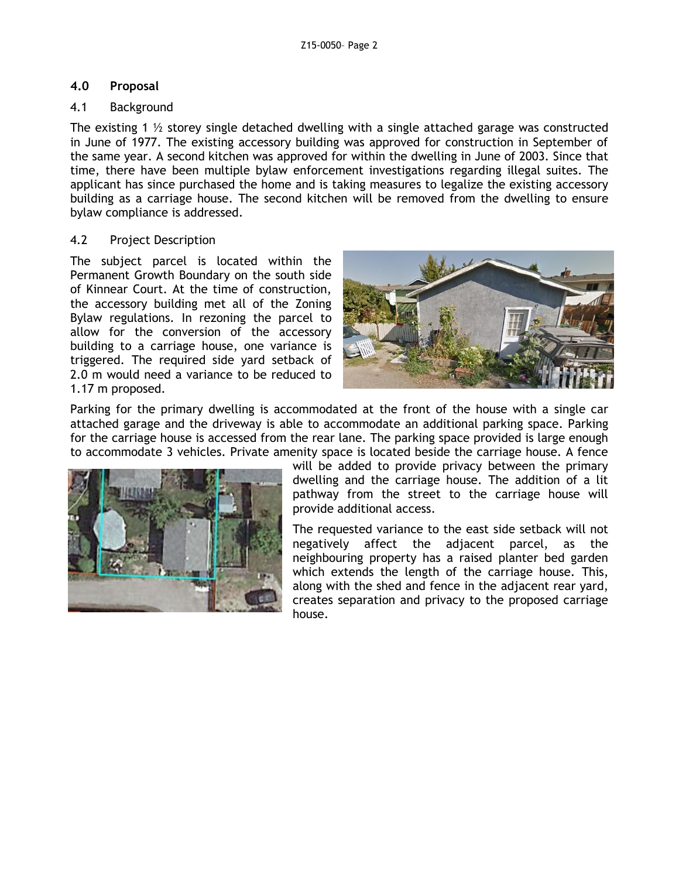## **4.0 Proposal**

## 4.1 Background

The existing 1  $\frac{1}{2}$  storey single detached dwelling with a single attached garage was constructed in June of 1977. The existing accessory building was approved for construction in September of the same year. A second kitchen was approved for within the dwelling in June of 2003. Since that time, there have been multiple bylaw enforcement investigations regarding illegal suites. The applicant has since purchased the home and is taking measures to legalize the existing accessory building as a carriage house. The second kitchen will be removed from the dwelling to ensure bylaw compliance is addressed.

## 4.2 Project Description

The subject parcel is located within the Permanent Growth Boundary on the south side of Kinnear Court. At the time of construction, the accessory building met all of the Zoning Bylaw regulations. In rezoning the parcel to allow for the conversion of the accessory building to a carriage house, one variance is triggered. The required side yard setback of 2.0 m would need a variance to be reduced to 1.17 m proposed.



Parking for the primary dwelling is accommodated at the front of the house with a single car attached garage and the driveway is able to accommodate an additional parking space. Parking for the carriage house is accessed from the rear lane. The parking space provided is large enough to accommodate 3 vehicles. Private amenity space is located beside the carriage house. A fence



will be added to provide privacy between the primary dwelling and the carriage house. The addition of a lit pathway from the street to the carriage house will provide additional access.

The requested variance to the east side setback will not negatively affect the adjacent parcel, as the neighbouring property has a raised planter bed garden which extends the length of the carriage house. This, along with the shed and fence in the adjacent rear yard, creates separation and privacy to the proposed carriage house.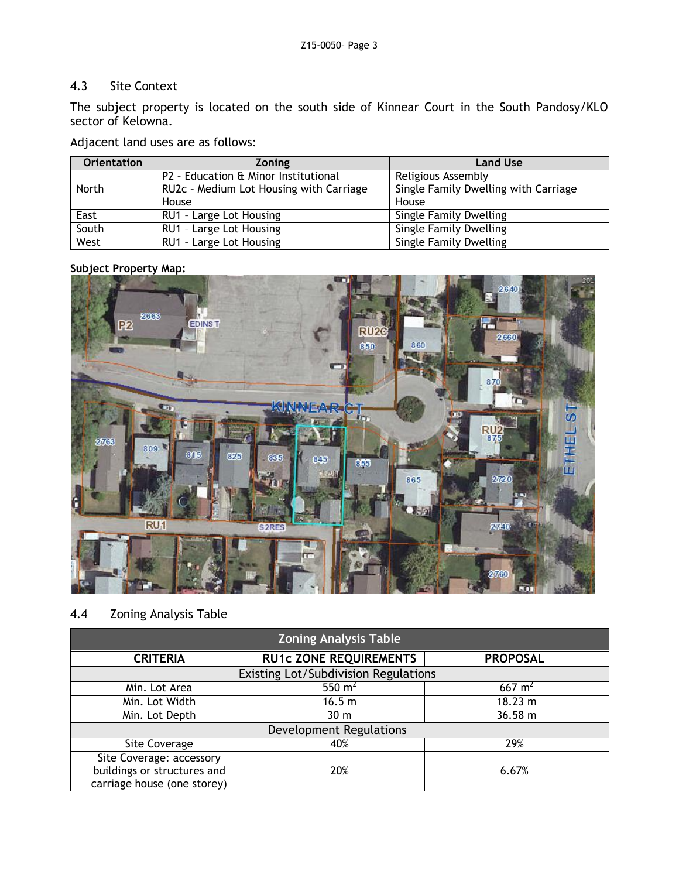## 4.3 Site Context

The subject property is located on the south side of Kinnear Court in the South Pandosy/KLO sector of Kelowna.

Adjacent land uses are as follows:

| <b>Orientation</b> | <b>Zoning</b>                           | <b>Land Use</b>                      |
|--------------------|-----------------------------------------|--------------------------------------|
|                    | P2 - Education & Minor Institutional    | Religious Assembly                   |
| North              | RU2c - Medium Lot Housing with Carriage | Single Family Dwelling with Carriage |
|                    | House                                   | House                                |
| East               | RU1 - Large Lot Housing                 | <b>Single Family Dwelling</b>        |
| South              | RU1 - Large Lot Housing                 | <b>Single Family Dwelling</b>        |
| West               | RU1 - Large Lot Housing                 | Single Family Dwelling               |

#### **Subject Property Map:**



# 4.4 Zoning Analysis Table

| <b>Zoning Analysis Table</b>         |                               |                   |  |  |
|--------------------------------------|-------------------------------|-------------------|--|--|
| <b>CRITERIA</b>                      | <b>RU1c ZONE REQUIREMENTS</b> | <b>PROPOSAL</b>   |  |  |
| Existing Lot/Subdivision Regulations |                               |                   |  |  |
| Min. Lot Area                        | 550 $m2$                      | $667 \text{ m}^2$ |  |  |
| Min. Lot Width                       | 16.5 m                        | 18.23 m           |  |  |
| Min. Lot Depth                       | 30 <sub>m</sub>               | 36.58 m           |  |  |
| <b>Development Regulations</b>       |                               |                   |  |  |
| Site Coverage                        | 40%                           | 29%               |  |  |
| Site Coverage: accessory             |                               |                   |  |  |
| buildings or structures and          | 20%                           | 6.67%             |  |  |
| carriage house (one storey)          |                               |                   |  |  |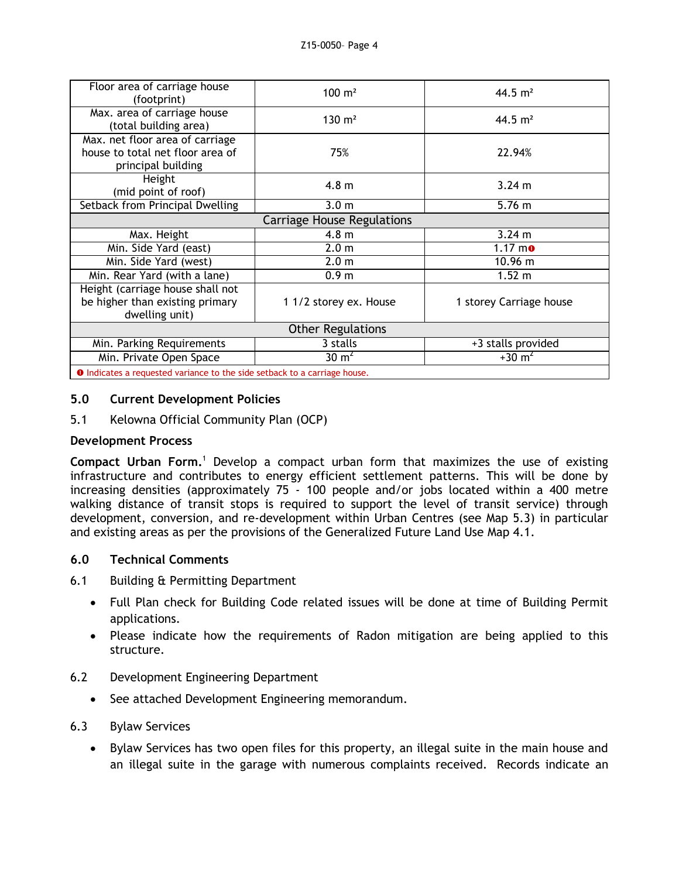| Floor area of carriage house<br>(footprint)                                               | $100 \; \text{m}^2$    | 44.5 $m2$                     |  |
|-------------------------------------------------------------------------------------------|------------------------|-------------------------------|--|
| Max. area of carriage house<br>(total building area)                                      | $130 \; \text{m}^2$    | 44.5 $m2$                     |  |
| Max. net floor area of carriage<br>house to total net floor area of<br>principal building | 75%                    | 22.94%                        |  |
| Height<br>(mid point of roof)                                                             | 4.8 <sub>m</sub>       | $3.24 \text{ m}$              |  |
| Setback from Principal Dwelling                                                           | 3.0 <sub>m</sub>       | $5.76 \; m$                   |  |
| <b>Carriage House Regulations</b>                                                         |                        |                               |  |
| Max. Height                                                                               | 4.8 <sub>m</sub>       | 3.24 m                        |  |
| Min. Side Yard (east)                                                                     | 2.0 <sub>m</sub>       | $1.17 \text{ m}$ <sup>o</sup> |  |
| Min. Side Yard (west)                                                                     | 2.0 <sub>m</sub>       | $10.96 \text{ m}$             |  |
| Min. Rear Yard (with a lane)                                                              | 0.9 <sub>m</sub>       | 1.52 m                        |  |
| Height (carriage house shall not<br>be higher than existing primary<br>dwelling unit)     | 1 1/2 storey ex. House | 1 storey Carriage house       |  |
| <b>Other Regulations</b>                                                                  |                        |                               |  |
| Min. Parking Requirements                                                                 | 3 stalls               | +3 stalls provided            |  |
| Min. Private Open Space                                                                   | $30 \text{ m}^2$       | $+30 \text{ m}^2$             |  |
| <b>O</b> Indicates a requested variance to the side setback to a carriage house.          |                        |                               |  |

#### **5.0 Current Development Policies**

5.1 Kelowna Official Community Plan (OCP)

#### **Development Process**

**Compact Urban Form.**<sup>1</sup> Develop a compact urban form that maximizes the use of existing infrastructure and contributes to energy efficient settlement patterns. This will be done by increasing densities (approximately 75 - 100 people and/or jobs located within a 400 metre walking distance of transit stops is required to support the level of transit service) through development, conversion, and re-development within Urban Centres (see Map 5.3) in particular and existing areas as per the provisions of the Generalized Future Land Use Map 4.1.

## **6.0 Technical Comments**

#### 6.1 Building & Permitting Department

- Full Plan check for Building Code related issues will be done at time of Building Permit applications.
- Please indicate how the requirements of Radon mitigation are being applied to this structure.
- 6.2 Development Engineering Department
	- See attached Development Engineering memorandum.

## 6.3 Bylaw Services

• Bylaw Services has two open files for this property, an illegal suite in the main house and an illegal suite in the garage with numerous complaints received. Records indicate an